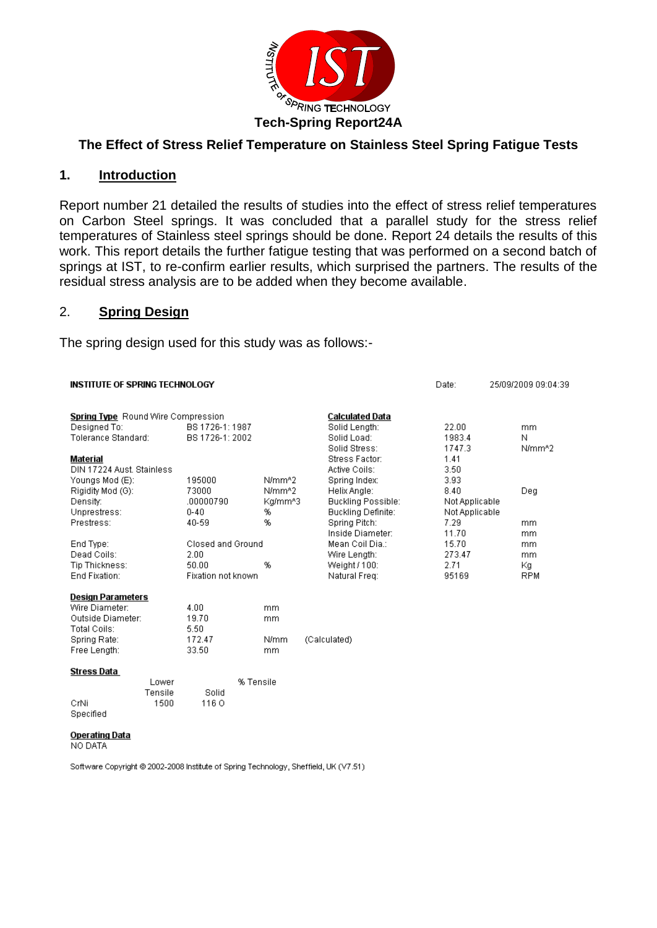

## **The Effect of Stress Relief Temperature on Stainless Steel Spring Fatigue Tests**

### **1. Introduction**

Report number 21 detailed the results of studies into the effect of stress relief temperatures on Carbon Steel springs. It was concluded that a parallel study for the stress relief temperatures of Stainless steel springs should be done. Report 24 details the results of this work. This report details the further fatigue testing that was performed on a second batch of springs at IST, to re-confirm earlier results, which surprised the partners. The results of the residual stress analysis are to be added when they become available.

### 2. **Spring Design**

The spring design used for this study was as follows:-

### **INSTITUTE OF SPRING TECHNOLOGY** Date: 25/09/2009 09:04:39 Spring Type Round Wire Compression **Calculated Data** Designed To: BS 1726-1: 1987 Solid Length: 22.00 mm Tolerance Standard: BS 1726-1: 2002 Solid Load: 1983.4 N Solid Stress: 1747.3 N/mm<sup>x</sup>2 Stress Factor: 1.41 Material DIN 17224 Aust. Stainless Active Coils: 3.50 195000 N/mm<sup>42</sup> Spring Index: 3.93 Youngs Mod (E): Rigidity Mod (G): 73000 N/mm<sup>42</sup> Helix Angle: 8.40 Deg Density:  $.00000790$ Kg/mm^3 Buckling Possible: Not Applicable Unprestress:  $0 - 40$ % **Buckling Definite:** Not Applicable Prestress: 40-59 % Spring Pitch: 7.29 mm 11.70 Inside Diameter: mm End Type: Closed and Ground Mean Coil Dia.: 15.70 mm Dead Coils:  $2.00$ Wire Length: 273.47 <sub>mm</sub> Tip Thickness: 50.00 % Weight / 100: 2.71 Кg End Fixation: Fixation not known Natural Freq: 95169 **RPM Design Parameters** 4.00 Wire Diameter: mm Outside Diameter: 19.70 mm Total Coils: 5.50 Spring Rate: 172.47 N/mm (Calculated) Free Length: 33.50 mm **Stress Data** % Tensile Lower Tensile Solid CrNi 1500 1160 Specified **Operating Data** NO DATA

Software Copyright @ 2002-2008 Institute of Spring Technology, Sheffield, UK (V7.51)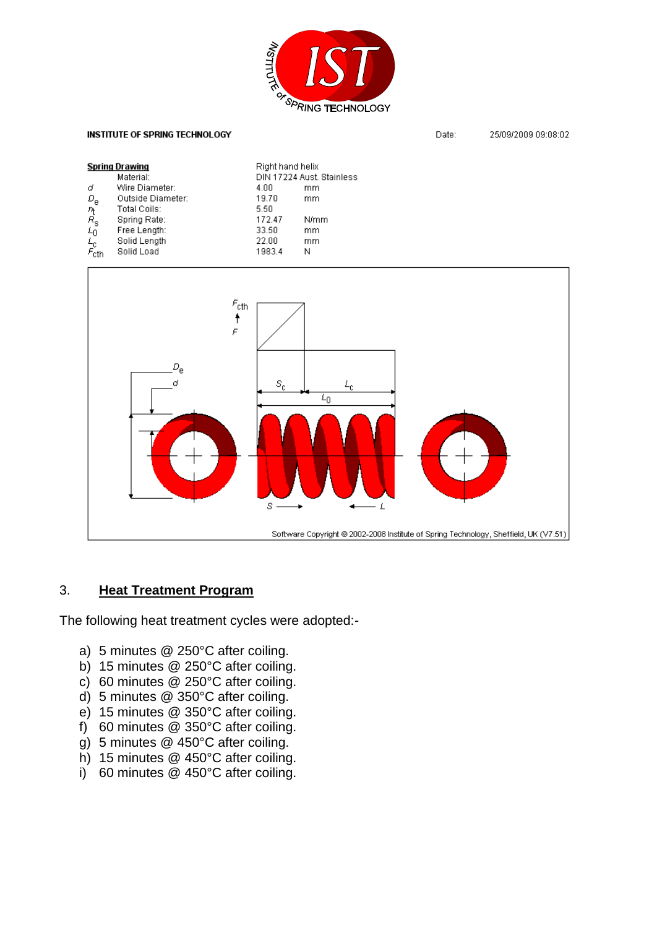

### **INSTITUTE OF SPRING TECHNOLOGY**

25/09/2009 09:08:02 Date:

| <b>Spring Drawing</b>                                                                          |                   |        | Right hand helix          |  |
|------------------------------------------------------------------------------------------------|-------------------|--------|---------------------------|--|
|                                                                                                | Material:         |        | DIN 17224 Aust. Stainless |  |
| σ                                                                                              | Wire Diameter:    | 4.00   | mm                        |  |
|                                                                                                | Outside Diameter: | 19.70  | mm                        |  |
|                                                                                                | Total Coils:      | 5.50   |                           |  |
|                                                                                                | Spring Rate:      | 172.47 | N/mm                      |  |
|                                                                                                | Free Length:      | 33.50  | mm                        |  |
|                                                                                                | Solid Length      | 22.00  | mm                        |  |
| $\begin{array}{l} D_{\rm e} \\ n_{\rm t} \\ E_{\rm 0} \\ L_{\rm c} \\ F_{\rm cth} \end{array}$ | Solid Load        | 1983.4 | Ν                         |  |



## 3. **Heat Treatment Program**

The following heat treatment cycles were adopted:-

- a) 5 minutes @ 250°C after coiling.
- b) 15 minutes @ 250°C after coiling.
- c) 60 minutes @ 250°C after coiling.
- d) 5 minutes @ 350°C after coiling.
- e) 15 minutes @ 350°C after coiling.
- f) 60 minutes @ 350°C after coiling.
- g) 5 minutes @ 450°C after coiling.
- h) 15 minutes @ 450°C after coiling.
- i) 60 minutes @ 450°C after coiling.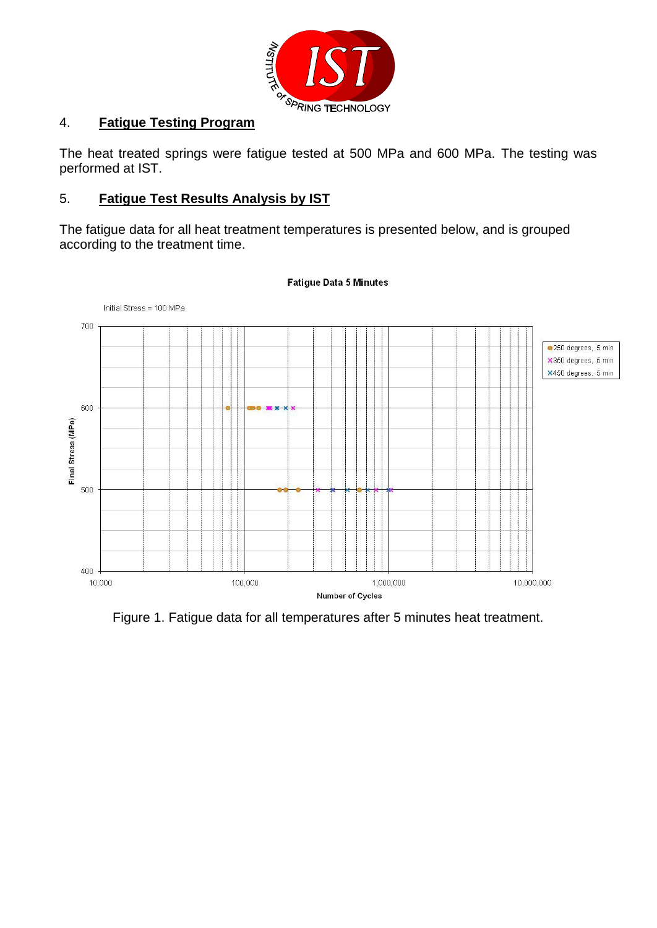

The heat treated springs were fatigue tested at 500 MPa and 600 MPa. The testing was performed at IST.

## 5. **Fatigue Test Results Analysis by IST**

The fatigue data for all heat treatment temperatures is presented below, and is grouped according to the treatment time.



### **Fatique Data 5 Minutes**

Figure 1. Fatigue data for all temperatures after 5 minutes heat treatment.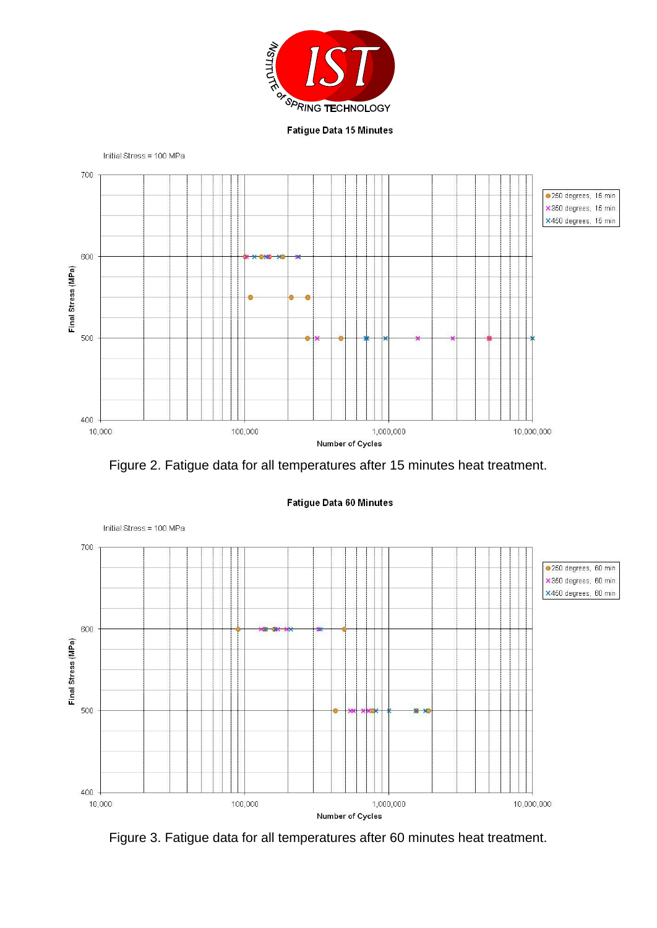





### Fatigue Data 60 Minutes



Figure 3. Fatigue data for all temperatures after 60 minutes heat treatment.